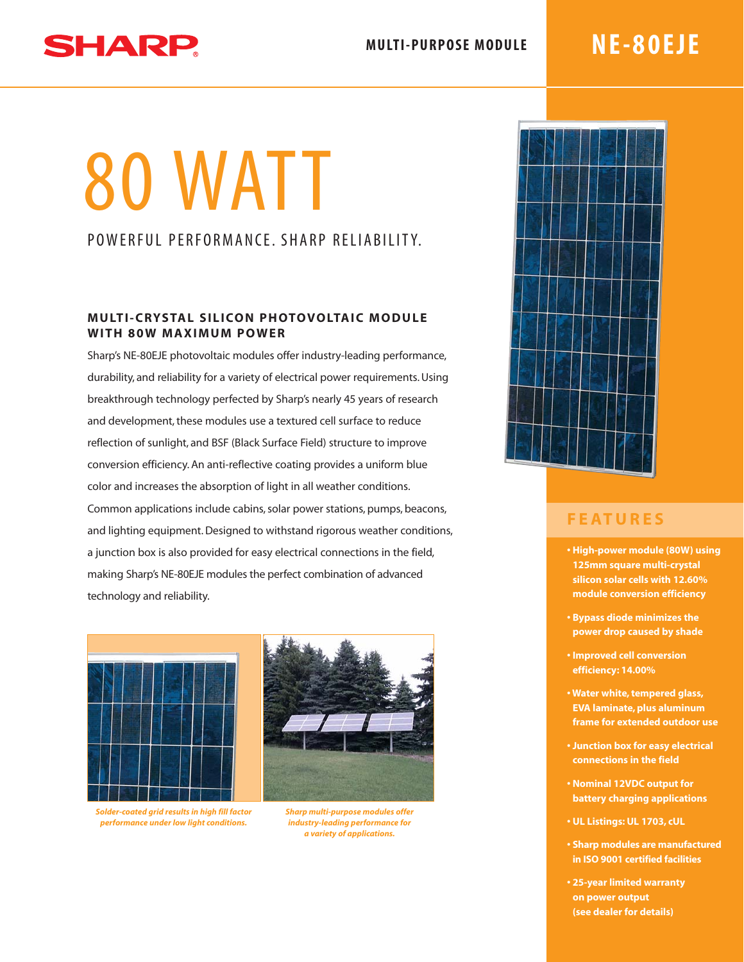#### **MULTI-PURPOSE MODULE**

## SHARP

### **NE-80EJE**

# 80 WATT

### POWERFUL PERFORMANCE, SHARP RELIABILITY,

#### **MULTI-CRYSTAL SILICON PHOTOVOLTAIC MODULE WITH 80W MAXIMUM POWER**

Sharp's NE-80EJE photovoltaic modules offer industry-leading performance, durability, and reliability for a variety of electrical power requirements. Using breakthrough technology perfected by Sharp's nearly 45 years of research and development, these modules use a textured cell surface to reduce reflection of sunlight, and BSF (Black Surface Field) structure to improve conversion efficiency. An anti-reflective coating provides a uniform blue color and increases the absorption of light in all weather conditions. Common applications include cabins, solar power stations, pumps, beacons, and lighting equipment. Designed to withstand rigorous weather conditions, a junction box is also provided for easy electrical connections in the field, making Sharp's NE-80EJE modules the perfect combination of advanced technology and reliability.



*Solder-coated grid results in high fill factor performance under low light conditions.*



*Sharp multi-purpose modules offer industry-leading performance for a variety of applications.*



### **FEATURES**

- **High-power module (80W) using 125mm square multi-crystal silicon solar cells with 12.60% module conversion efficiency**
- **Bypass diode minimizes the power drop caused by shade**
- **Improved cell conversion efficiency: 14.00%**
- **Water white, tempered glass, EVA laminate, plus aluminum frame for extended outdoor use**
- **Junction box for easy electrical connections in the field**
- **Nominal 12VDC output for battery charging applications**
- **UL Listings: UL 1703, cUL**
- **Sharp modules are manufactured in ISO 9001 certified facilities**
- **25-year limited warranty on power output (see dealer for details)**